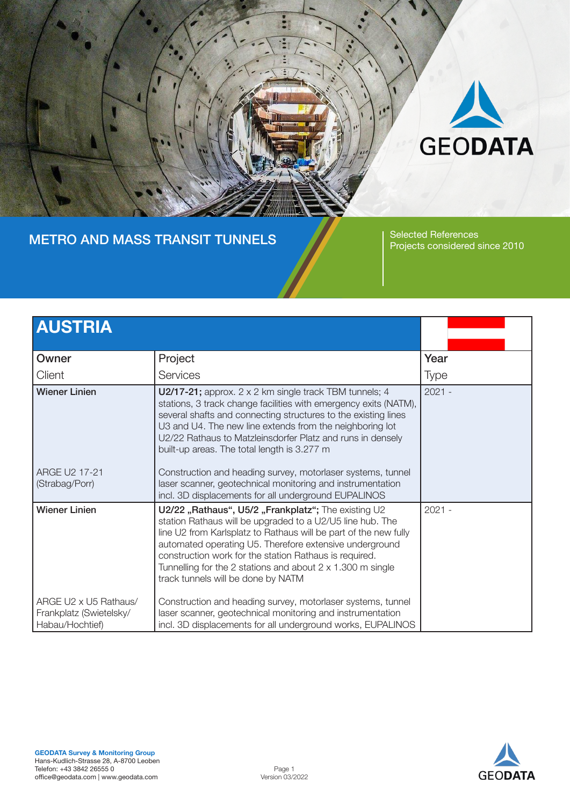

#### METRO AND MASS TRANSIT TUNNELS Selected References

Projects considered since 2010

| <b>AUSTRIA</b>                                                      |                                                                                                                                                                                                                                                                                                                                                                                                                      |             |
|---------------------------------------------------------------------|----------------------------------------------------------------------------------------------------------------------------------------------------------------------------------------------------------------------------------------------------------------------------------------------------------------------------------------------------------------------------------------------------------------------|-------------|
| Owner                                                               | Project                                                                                                                                                                                                                                                                                                                                                                                                              | Year        |
| Client                                                              | Services                                                                                                                                                                                                                                                                                                                                                                                                             | <b>Type</b> |
| <b>Wiener Linien</b>                                                | U2/17-21; approx. $2 \times 2$ km single track TBM tunnels; 4<br>stations, 3 track change facilities with emergency exits (NATM),<br>several shafts and connecting structures to the existing lines<br>U3 and U4. The new line extends from the neighboring lot<br>U2/22 Rathaus to Matzleinsdorfer Platz and runs in densely<br>built-up areas. The total length is 3.277 m                                         | $2021 -$    |
| ARGE U2 17-21<br>(Strabag/Porr)                                     | Construction and heading survey, motorlaser systems, tunnel<br>laser scanner, geotechnical monitoring and instrumentation<br>incl. 3D displacements for all underground EUPALINOS                                                                                                                                                                                                                                    |             |
| <b>Wiener Linien</b>                                                | U2/22 "Rathaus", U5/2 "Frankplatz"; The existing U2<br>station Rathaus will be upgraded to a U2/U5 line hub. The<br>line U2 from Karlsplatz to Rathaus will be part of the new fully<br>automated operating U5. Therefore extensive underground<br>construction work for the station Rathaus is required.<br>Tunnelling for the 2 stations and about $2 \times 1.300$ m single<br>track tunnels will be done by NATM | $2021 -$    |
| ARGE U2 x U5 Rathaus/<br>Frankplatz (Swietelsky/<br>Habau/Hochtief) | Construction and heading survey, motorlaser systems, tunnel<br>laser scanner, geotechnical monitoring and instrumentation<br>incl. 3D displacements for all underground works, EUPALINOS                                                                                                                                                                                                                             |             |



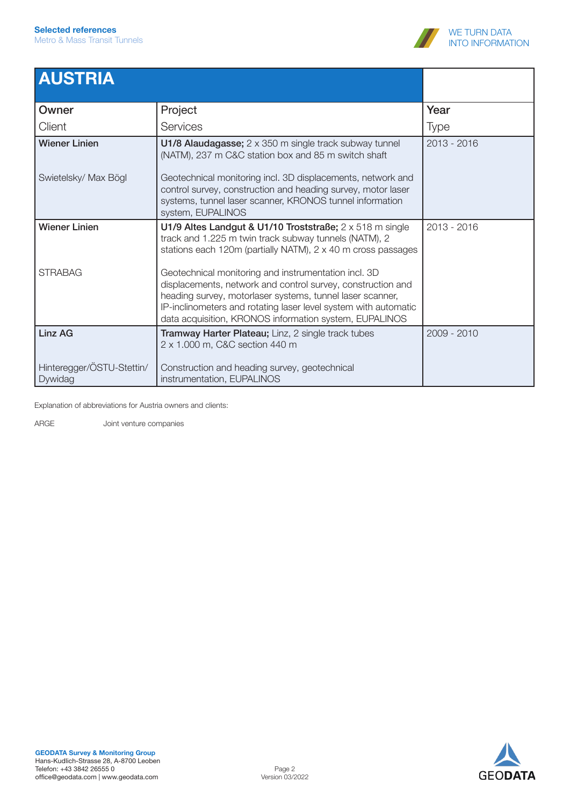

### AUSTRIA

| Owner                                | Project                                                                                                                                                                                                                                                                                                       | Year          |
|--------------------------------------|---------------------------------------------------------------------------------------------------------------------------------------------------------------------------------------------------------------------------------------------------------------------------------------------------------------|---------------|
| Client                               | <b>Services</b>                                                                                                                                                                                                                                                                                               | Type          |
| <b>Wiener Linien</b>                 | U1/8 Alaudagasse; 2 x 350 m single track subway tunnel<br>(NATM), 237 m C&C station box and 85 m switch shaft                                                                                                                                                                                                 | $2013 - 2016$ |
| Swietelsky/ Max Bögl                 | Geotechnical monitoring incl. 3D displacements, network and<br>control survey, construction and heading survey, motor laser<br>systems, tunnel laser scanner, KRONOS tunnel information<br>system, EUPALINOS                                                                                                  |               |
| <b>Wiener Linien</b>                 | U1/9 Altes Landgut & U1/10 Troststraße; $2 \times 518$ m single<br>track and 1.225 m twin track subway tunnels (NATM), 2<br>stations each 120m (partially NATM), 2 x 40 m cross passages                                                                                                                      | 2013 - 2016   |
| <b>STRABAG</b>                       | Geotechnical monitoring and instrumentation incl. 3D<br>displacements, network and control survey, construction and<br>heading survey, motorlaser systems, tunnel laser scanner,<br>IP-inclinometers and rotating laser level system with automatic<br>data acquisition, KRONOS information system, EUPALINOS |               |
| Linz AG                              | Tramway Harter Plateau; Linz, 2 single track tubes<br>2 x 1.000 m, C&C section 440 m                                                                                                                                                                                                                          | 2009 - 2010   |
| Hinteregger/ÖSTU-Stettin/<br>Dywidag | Construction and heading survey, geotechnical<br>instrumentation, EUPALINOS                                                                                                                                                                                                                                   |               |

Explanation of abbreviations for Austria owners and clients:

ARGE Joint venture companies

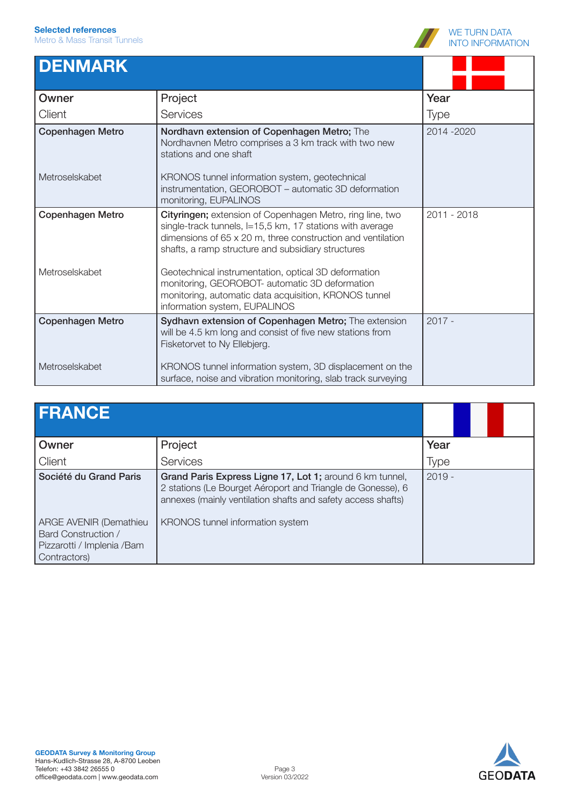

# **DENMARK**

| Owner                   | Project                                                                                                                                                                                                                                     | Year        |
|-------------------------|---------------------------------------------------------------------------------------------------------------------------------------------------------------------------------------------------------------------------------------------|-------------|
| Client                  | <b>Services</b>                                                                                                                                                                                                                             | <b>Type</b> |
| <b>Copenhagen Metro</b> | Nordhavn extension of Copenhagen Metro; The<br>Nordhavnen Metro comprises a 3 km track with two new<br>stations and one shaft                                                                                                               | 2014 - 2020 |
| Metroselskabet          | KRONOS tunnel information system, geotechnical<br>instrumentation, GEOROBOT - automatic 3D deformation<br>monitoring, EUPALINOS                                                                                                             |             |
| <b>Copenhagen Metro</b> | Cityringen; extension of Copenhagen Metro, ring line, two<br>single-track tunnels, I=15,5 km, 17 stations with average<br>dimensions of 65 x 20 m, three construction and ventilation<br>shafts, a ramp structure and subsidiary structures | 2011 - 2018 |
| Metroselskabet          | Geotechnical instrumentation, optical 3D deformation<br>monitoring, GEOROBOT- automatic 3D deformation<br>monitoring, automatic data acquisition, KRONOS tunnel<br>information system, EUPALINOS                                            |             |
| <b>Copenhagen Metro</b> | Sydhavn extension of Copenhagen Metro; The extension<br>will be 4.5 km long and consist of five new stations from<br>Fisketorvet to Ny Ellebjerg.                                                                                           | $2017 -$    |
| Metroselskabet          | KRONOS tunnel information system, 3D displacement on the<br>surface, noise and vibration monitoring, slab track surveying                                                                                                                   |             |

| <b>FRANCE</b>                                                                               |                                                                                                                                                                                         |          |
|---------------------------------------------------------------------------------------------|-----------------------------------------------------------------------------------------------------------------------------------------------------------------------------------------|----------|
| Owner                                                                                       | Project                                                                                                                                                                                 | Year     |
| Client                                                                                      | Services                                                                                                                                                                                | Type     |
| Société du Grand Paris                                                                      | Grand Paris Express Ligne 17, Lot 1; around 6 km tunnel,<br>2 stations (Le Bourget Aéroport and Triangle de Gonesse), 6<br>annexes (mainly ventilation shafts and safety access shafts) | $2019 -$ |
| ARGE AVENIR (Demathieu<br>Bard Construction /<br>Pizzarotti / Implenia /Bam<br>Contractors) | KRONOS tunnel information system                                                                                                                                                        |          |

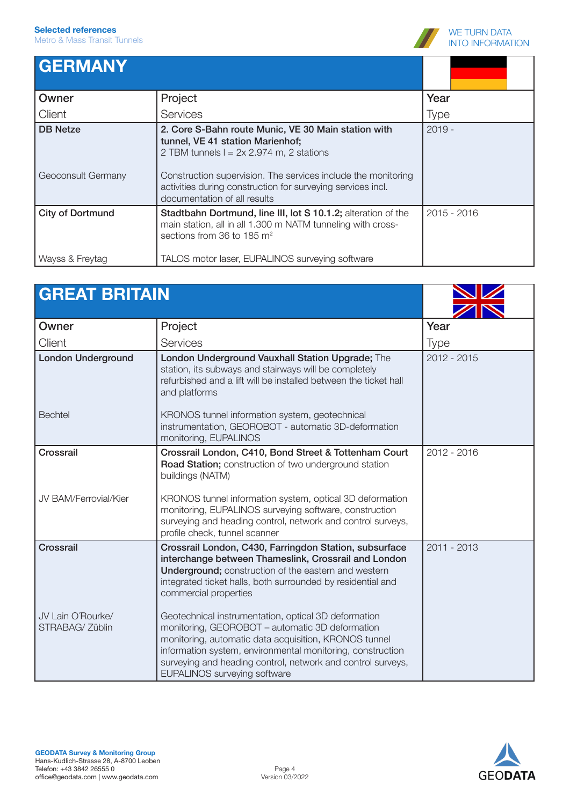

#### **GERMANY Owner Client** Project Services Year Type DB Netze Geoconsult Germany 2. Core S-Bahn route Munic, VE 30 Main station with tunnel, VE 41 station Marienhof; 2 TBM tunnels  $l = 2x 2.974$  m, 2 stations Construction supervision. The services include the monitoring activities during construction for surveying services incl. documentation of all results 2019 - City of Dortmund Wayss & Freytag Stadtbahn Dortmund, line III, lot S 10.1.2; alteration of the main station, all in all 1.300 m NATM tunneling with crosssections from 36 to 185 m<sup>2</sup> TALOS motor laser, EUPALINOS surveying software 2015 - 2016

| <b>GREAT BRITAIN</b>                 |                                                                                                                                                                                                                                                                                                                                      |               |
|--------------------------------------|--------------------------------------------------------------------------------------------------------------------------------------------------------------------------------------------------------------------------------------------------------------------------------------------------------------------------------------|---------------|
| Owner                                | Project                                                                                                                                                                                                                                                                                                                              | Year          |
| Client                               | Services                                                                                                                                                                                                                                                                                                                             | <b>Type</b>   |
| <b>London Underground</b>            | London Underground Vauxhall Station Upgrade; The<br>station, its subways and stairways will be completely<br>refurbished and a lift will be installed between the ticket hall<br>and platforms                                                                                                                                       | $2012 - 2015$ |
| <b>Bechtel</b>                       | KRONOS tunnel information system, geotechnical<br>instrumentation, GEOROBOT - automatic 3D-deformation<br>monitoring, EUPALINOS                                                                                                                                                                                                      |               |
| Crossrail                            | Crossrail London, C410, Bond Street & Tottenham Court<br>Road Station; construction of two underground station<br>buildings (NATM)                                                                                                                                                                                                   | $2012 - 2016$ |
| JV BAM/Ferrovial/Kier                | KRONOS tunnel information system, optical 3D deformation<br>monitoring, EUPALINOS surveying software, construction<br>surveying and heading control, network and control surveys,<br>profile check, tunnel scanner                                                                                                                   |               |
| Crossrail                            | Crossrail London, C430, Farringdon Station, subsurface<br>interchange between Thameslink, Crossrail and London<br>Underground; construction of the eastern and western<br>integrated ticket halls, both surrounded by residential and<br>commercial properties                                                                       | 2011 - 2013   |
| JV Lain O'Rourke/<br>STRABAG/ Züblin | Geotechnical instrumentation, optical 3D deformation<br>monitoring, GEOROBOT - automatic 3D deformation<br>monitoring, automatic data acquisition, KRONOS tunnel<br>information system, environmental monitoring, construction<br>surveying and heading control, network and control surveys,<br><b>EUPALINOS surveying software</b> |               |

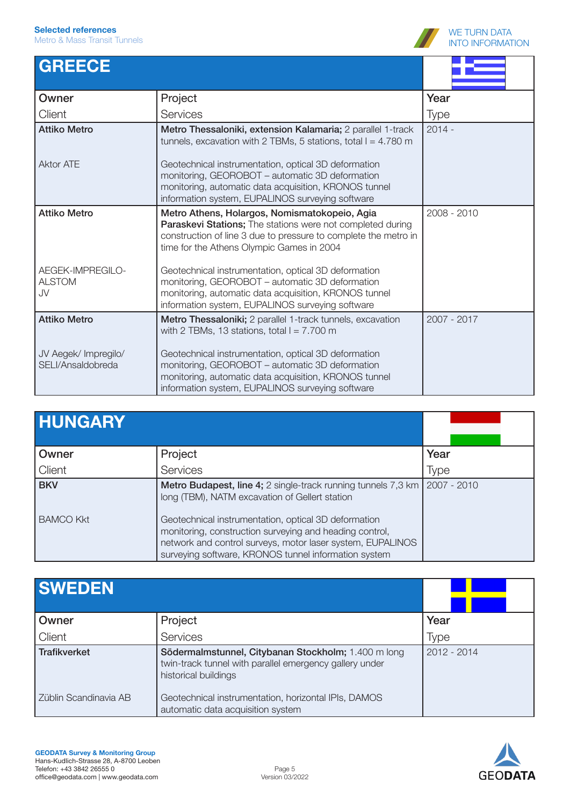

| <b>GREECE</b>                             |                                                                                                                                                                                                                             |             |
|-------------------------------------------|-----------------------------------------------------------------------------------------------------------------------------------------------------------------------------------------------------------------------------|-------------|
| Owner                                     | Project                                                                                                                                                                                                                     | Year        |
| Client                                    | Services                                                                                                                                                                                                                    | <b>Type</b> |
| <b>Attiko Metro</b>                       | Metro Thessaloniki, extension Kalamaria; 2 parallel 1-track<br>tunnels, excavation with 2 TBMs, 5 stations, total $l = 4.780$ m                                                                                             | $2014 -$    |
| <b>Aktor ATE</b>                          | Geotechnical instrumentation, optical 3D deformation<br>monitoring, GEOROBOT - automatic 3D deformation<br>monitoring, automatic data acquisition, KRONOS tunnel<br>information system, EUPALINOS surveying software        |             |
| <b>Attiko Metro</b>                       | Metro Athens, Holargos, Nomismatokopeio, Agia<br>Paraskevi Stations; The stations were not completed during<br>construction of line 3 due to pressure to complete the metro in<br>time for the Athens Olympic Games in 2004 | 2008 - 2010 |
| AEGEK-IMPREGILO-<br><b>ALSTOM</b><br>JV   | Geotechnical instrumentation, optical 3D deformation<br>monitoring, GEOROBOT – automatic 3D deformation<br>monitoring, automatic data acquisition, KRONOS tunnel<br>information system, EUPALINOS surveying software        |             |
| <b>Attiko Metro</b>                       | Metro Thessaloniki; 2 parallel 1-track tunnels, excavation<br>with 2 TBMs, 13 stations, total $l = 7.700$ m                                                                                                                 | 2007 - 2017 |
| JV Aegek/ Impregilo/<br>SELI/Ansaldobreda | Geotechnical instrumentation, optical 3D deformation<br>monitoring, GEOROBOT - automatic 3D deformation<br>monitoring, automatic data acquisition, KRONOS tunnel<br>information system, EUPALINOS surveying software        |             |

| <b>HUNGARY</b>   |                                                                                                                                                                                                                                       |             |
|------------------|---------------------------------------------------------------------------------------------------------------------------------------------------------------------------------------------------------------------------------------|-------------|
| Owner            | Project                                                                                                                                                                                                                               | Year        |
| Client           | Services                                                                                                                                                                                                                              | Type        |
| <b>BKV</b>       | Metro Budapest, line 4; 2 single-track running tunnels 7,3 km<br>long (TBM), NATM excavation of Gellert station                                                                                                                       | 2007 - 2010 |
| <b>BAMCO Kkt</b> | Geotechnical instrumentation, optical 3D deformation<br>monitoring, construction surveying and heading control,<br>network and control surveys, motor laser system, EUPALINOS<br>surveying software, KRONOS tunnel information system |             |

| <b>SWEDEN</b>         |                                                                                                                                        |               |
|-----------------------|----------------------------------------------------------------------------------------------------------------------------------------|---------------|
| Owner                 | Project                                                                                                                                | Year          |
| Client                | Services                                                                                                                               | Type          |
| <b>Trafikverket</b>   | Södermalmstunnel, Citybanan Stockholm; 1.400 m long<br>twin-track tunnel with parallel emergency gallery under<br>historical buildings | $2012 - 2014$ |
| Züblin Scandinavia AB | Geotechnical instrumentation, horizontal IPIs, DAMOS<br>automatic data acquisition system                                              |               |

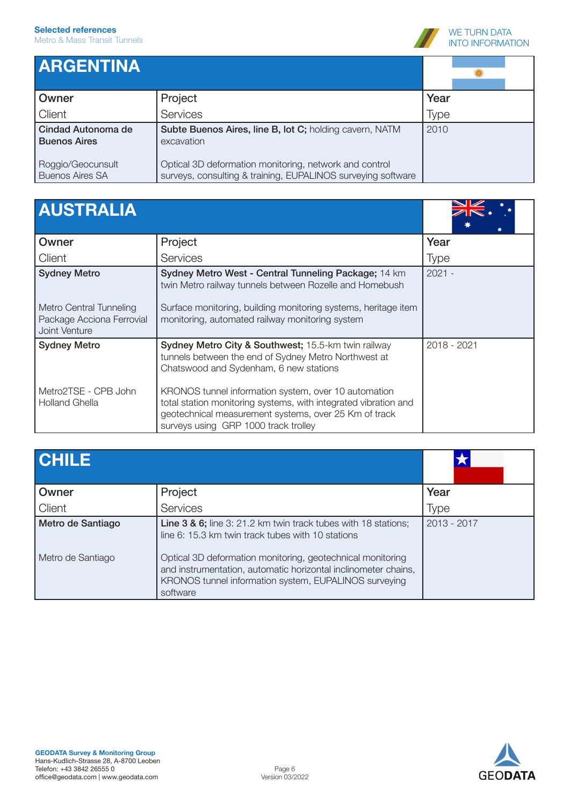

## ARGENTINA

| I ANULINI IINA                              |                                                                                                                        |             |  |
|---------------------------------------------|------------------------------------------------------------------------------------------------------------------------|-------------|--|
| Owner                                       | Project                                                                                                                | Year        |  |
| Client                                      | Services                                                                                                               | <b>Type</b> |  |
| Cindad Autonoma de<br><b>Buenos Aires</b>   | Subte Buenos Aires, line B, lot C; holding cavern, NATM<br>excavation                                                  | 2010        |  |
| Roggio/Geocunsult<br><b>Buenos Aires SA</b> | Optical 3D deformation monitoring, network and control<br>surveys, consulting & training, EUPALINOS surveying software |             |  |

| <b>AUSTRALIA</b> |  |  |
|------------------|--|--|
|                  |  |  |

| <b>AUSTRALIA</b>                                                                             |                                                                                                                                                                                                                                                                                                                                                                                   |             |
|----------------------------------------------------------------------------------------------|-----------------------------------------------------------------------------------------------------------------------------------------------------------------------------------------------------------------------------------------------------------------------------------------------------------------------------------------------------------------------------------|-------------|
| Owner                                                                                        | Project                                                                                                                                                                                                                                                                                                                                                                           | Year        |
| Client                                                                                       | Services                                                                                                                                                                                                                                                                                                                                                                          | <b>Type</b> |
| <b>Sydney Metro</b><br>Metro Central Tunneling<br>Package Acciona Ferrovial<br>Joint Venture | Sydney Metro West - Central Tunneling Package; 14 km<br>twin Metro railway tunnels between Rozelle and Homebush<br>Surface monitoring, building monitoring systems, heritage item<br>monitoring, automated railway monitoring system                                                                                                                                              | $2021 -$    |
| <b>Sydney Metro</b><br>Metro2TSE - CPB John<br><b>Holland Ghella</b>                         | Sydney Metro City & Southwest; 15.5-km twin railway<br>tunnels between the end of Sydney Metro Northwest at<br>Chatswood and Sydenham, 6 new stations<br>KRONOS tunnel information system, over 10 automation<br>total station monitoring systems, with integrated vibration and<br>geotechnical measurement systems, over 25 Km of track<br>surveys using GRP 1000 track trolley | 2018 - 2021 |

| <b>CHILE</b>      |                                                                                                                                                                                                   |               |
|-------------------|---------------------------------------------------------------------------------------------------------------------------------------------------------------------------------------------------|---------------|
| Owner             | Project                                                                                                                                                                                           | Year          |
| Client            | Services                                                                                                                                                                                          | <b>Type</b>   |
| Metro de Santiago | Line 3 & 6; line 3: 21.2 km twin track tubes with 18 stations;<br>line 6: 15.3 km twin track tubes with 10 stations                                                                               | $2013 - 2017$ |
| Metro de Santiago | Optical 3D deformation monitoring, geotechnical monitoring<br>and instrumentation, automatic horizontal inclinometer chains,<br>KRONOS tunnel information system, EUPALINOS surveying<br>software |               |

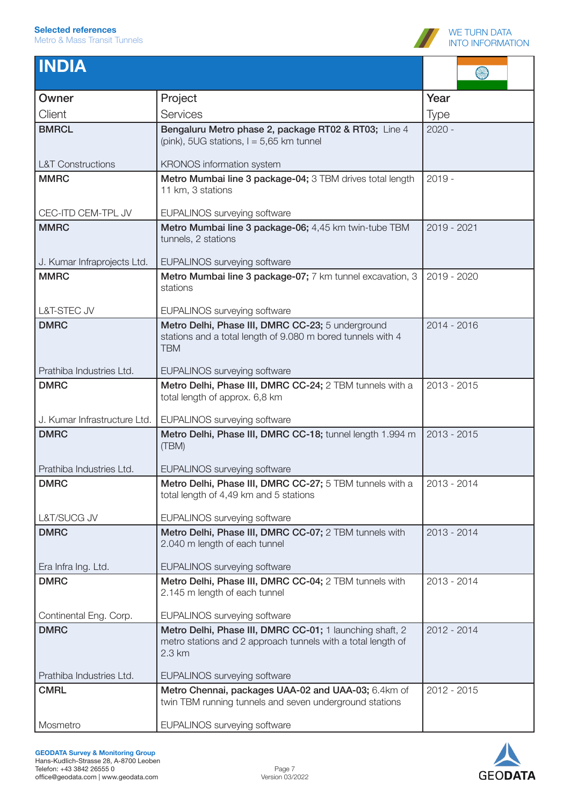

| <b>INDIA</b>                       |                                                                                                                                    |             |
|------------------------------------|------------------------------------------------------------------------------------------------------------------------------------|-------------|
| Owner                              | Project                                                                                                                            | Year        |
| Client                             | Services                                                                                                                           | <b>Type</b> |
| <b>BMRCL</b>                       | Bengaluru Metro phase 2, package RT02 & RT03; Line 4<br>(pink), 5UG stations, $I = 5,65$ km tunnel                                 | $2020 -$    |
| <b>L&amp;T Constructions</b>       | KRONOS information system                                                                                                          |             |
| <b>MMRC</b>                        | Metro Mumbai line 3 package-04; 3 TBM drives total length<br>11 km, 3 stations                                                     | $2019 -$    |
| CEC-ITD CEM-TPL JV                 | EUPALINOS surveying software                                                                                                       |             |
| <b>MMRC</b>                        | Metro Mumbai line 3 package-06; 4,45 km twin-tube TBM<br>tunnels, 2 stations                                                       | 2019 - 2021 |
| J. Kumar Infraprojects Ltd.        | <b>EUPALINOS surveying software</b>                                                                                                |             |
| <b>MMRC</b>                        | Metro Mumbai line 3 package-07; 7 km tunnel excavation, 3<br>stations                                                              | 2019 - 2020 |
| L&T-STEC JV                        | <b>EUPALINOS surveying software</b>                                                                                                |             |
| <b>DMRC</b>                        | Metro Delhi, Phase III, DMRC CC-23; 5 underground<br>stations and a total length of 9.080 m bored tunnels with 4<br><b>TBM</b>     | 2014 - 2016 |
| Prathiba Industries Ltd.           | <b>EUPALINOS surveying software</b>                                                                                                |             |
| <b>DMRC</b>                        | Metro Delhi, Phase III, DMRC CC-24; 2 TBM tunnels with a<br>total length of approx. 6,8 km                                         | 2013 - 2015 |
| J. Kumar Infrastructure Ltd.       | EUPALINOS surveying software                                                                                                       |             |
| <b>DMRC</b>                        | Metro Delhi, Phase III, DMRC CC-18; tunnel length 1.994 m<br>(TBM)                                                                 | 2013 - 2015 |
| Prathiba Industries Ltd.           | <b>EUPALINOS surveying software</b>                                                                                                |             |
| <b>DMRC</b>                        | Metro Delhi, Phase III, DMRC CC-27; 5 TBM tunnels with a<br>total length of 4,49 km and 5 stations                                 | 2013 - 2014 |
| L&T/SUCG JV                        | EUPALINOS surveying software                                                                                                       |             |
| <b>DMRC</b>                        | Metro Delhi, Phase III, DMRC CC-07; 2 TBM tunnels with<br>2.040 m length of each tunnel                                            | 2013 - 2014 |
| Era Infra Ing. Ltd.<br><b>DMRC</b> | <b>EUPALINOS surveying software</b><br>Metro Delhi, Phase III, DMRC CC-04; 2 TBM tunnels with                                      | 2013 - 2014 |
|                                    | 2.145 m length of each tunnel                                                                                                      |             |
| Continental Eng. Corp.             | EUPALINOS surveying software                                                                                                       |             |
| <b>DMRC</b>                        | Metro Delhi, Phase III, DMRC CC-01; 1 launching shaft, 2<br>metro stations and 2 approach tunnels with a total length of<br>2.3 km | 2012 - 2014 |
| Prathiba Industries Ltd.           | EUPALINOS surveying software                                                                                                       |             |
| <b>CMRL</b>                        | Metro Chennai, packages UAA-02 and UAA-03; 6.4km of<br>twin TBM running tunnels and seven underground stations                     | 2012 - 2015 |
| Mosmetro                           | EUPALINOS surveying software                                                                                                       |             |

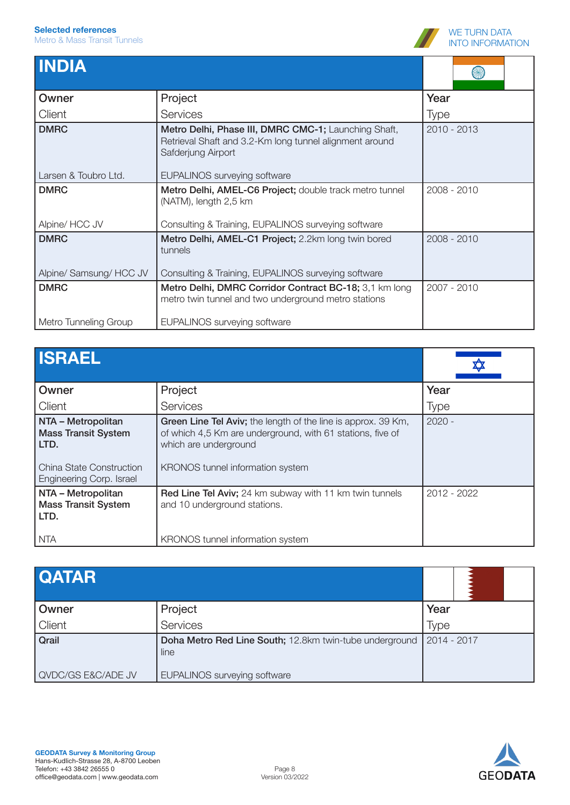

| <b>INDIA</b>            |                                                                                                                                       |             |
|-------------------------|---------------------------------------------------------------------------------------------------------------------------------------|-------------|
| Owner                   | Project                                                                                                                               | Year        |
| Client                  | <b>Services</b>                                                                                                                       | <b>Type</b> |
| <b>DMRC</b>             | Metro Delhi, Phase III, DMRC CMC-1; Launching Shaft,<br>Retrieval Shaft and 3.2-Km long tunnel alignment around<br>Safderjung Airport | 2010 - 2013 |
| Larsen & Toubro Ltd.    | <b>EUPALINOS surveying software</b>                                                                                                   |             |
| <b>DMRC</b>             | Metro Delhi, AMEL-C6 Project; double track metro tunnel<br>(NATM), length 2,5 km                                                      | 2008 - 2010 |
| Alpine/ HCC JV          | Consulting & Training, EUPALINOS surveying software                                                                                   |             |
| <b>DMRC</b>             | Metro Delhi, AMEL-C1 Project; 2.2km long twin bored<br>tunnels                                                                        | 2008 - 2010 |
| Alpine/ Samsung/ HCC JV | Consulting & Training, EUPALINOS surveying software                                                                                   |             |
| <b>DMRC</b>             | Metro Delhi, DMRC Corridor Contract BC-18; 3,1 km long<br>metro twin tunnel and two underground metro stations                        | 2007 - 2010 |
| Metro Tunneling Group   | <b>EUPALINOS surveying software</b>                                                                                                   |             |

| <b>ISRAEL</b>                                                                                                             |                                                                                                                                                                                          |             |
|---------------------------------------------------------------------------------------------------------------------------|------------------------------------------------------------------------------------------------------------------------------------------------------------------------------------------|-------------|
| Owner                                                                                                                     | Project                                                                                                                                                                                  | Year        |
| Client                                                                                                                    | Services                                                                                                                                                                                 | <b>Type</b> |
| NTA - Metropolitan<br><b>Mass Transit System</b><br>  LTD.<br><b>China State Construction</b><br>Engineering Corp. Israel | Green Line Tel Aviv; the length of the line is approx. 39 Km,<br>of which 4,5 Km are underground, with 61 stations, five of<br>which are underground<br>KRONOS tunnel information system | $2020 -$    |
| NTA - Metropolitan<br><b>Mass Transit System</b><br>LTD.<br>NTA                                                           | Red Line Tel Aviv; 24 km subway with 11 km twin tunnels<br>and 10 underground stations.<br>KRONOS tunnel information system                                                              | 2012 - 2022 |

| <b>QATAR</b>       |                                                                 |               |
|--------------------|-----------------------------------------------------------------|---------------|
| Owner              | Project                                                         | Year          |
| Client             | Services                                                        | Type          |
| Qrail              | Doha Metro Red Line South; 12.8km twin-tube underground<br>line | $2014 - 2017$ |
| QVDC/GS E&C/ADE JV | EUPALINOS surveying software                                    |               |